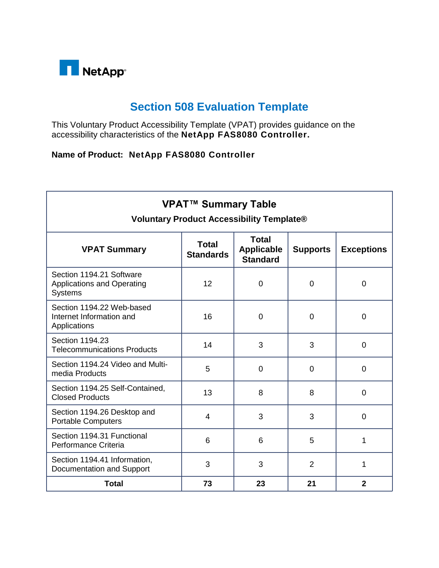

## **Section 508 Evaluation Template**

This Voluntary Product Accessibility Template (VPAT) provides guidance on the accessibility characteristics of the **NetApp FAS8080 Controller.**

## **Name of Product: NetApp FAS8080 Controller**

| <b>VPAT™ Summary Table</b><br><b>Voluntary Product Accessibility Template®</b>  |                           |                                                      |                 |                   |
|---------------------------------------------------------------------------------|---------------------------|------------------------------------------------------|-----------------|-------------------|
| <b>VPAT Summary</b>                                                             | Total<br><b>Standards</b> | <b>Total</b><br><b>Applicable</b><br><b>Standard</b> | <b>Supports</b> | <b>Exceptions</b> |
| Section 1194.21 Software<br><b>Applications and Operating</b><br><b>Systems</b> | 12                        | $\overline{0}$                                       | $\overline{0}$  | $\mathbf 0$       |
| Section 1194.22 Web-based<br>Internet Information and<br>Applications           | 16                        | $\overline{0}$                                       | $\overline{0}$  | $\overline{0}$    |
| Section 1194.23<br><b>Telecommunications Products</b>                           | 14                        | 3                                                    | 3               | $\overline{0}$    |
| Section 1194.24 Video and Multi-<br>media Products                              | 5                         | $\overline{0}$                                       | $\overline{0}$  | $\overline{0}$    |
| Section 1194.25 Self-Contained,<br><b>Closed Products</b>                       | 13                        | 8                                                    | 8               | $\overline{0}$    |
| Section 1194.26 Desktop and<br><b>Portable Computers</b>                        | $\overline{4}$            | 3                                                    | 3               | $\overline{0}$    |
| Section 1194.31 Functional<br>Performance Criteria                              | 6                         | 6                                                    | 5               | 1                 |
| Section 1194.41 Information,<br>Documentation and Support                       | 3                         | 3                                                    | $\overline{2}$  | 1                 |
| <b>Total</b>                                                                    | 73                        | 23                                                   | 21              | $\mathbf{2}$      |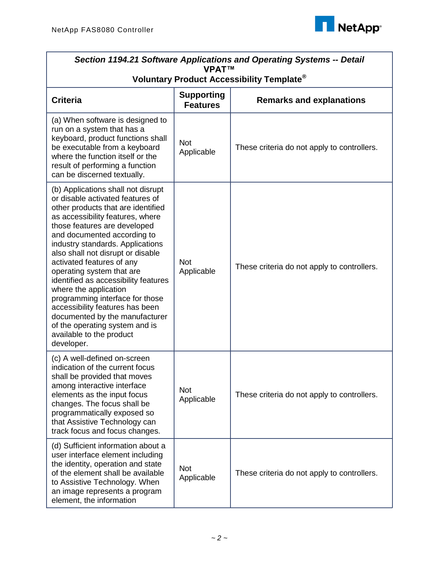

| Section 1194.21 Software Applications and Operating Systems -- Detail<br><b>VPAT™</b>                                                                                                                                                                                                                                                                                                                                                                                                                                                                                                                   |                                                       |                                             |  |  |
|---------------------------------------------------------------------------------------------------------------------------------------------------------------------------------------------------------------------------------------------------------------------------------------------------------------------------------------------------------------------------------------------------------------------------------------------------------------------------------------------------------------------------------------------------------------------------------------------------------|-------------------------------------------------------|---------------------------------------------|--|--|
|                                                                                                                                                                                                                                                                                                                                                                                                                                                                                                                                                                                                         | Voluntary Product Accessibility Template <sup>®</sup> |                                             |  |  |
| <b>Criteria</b>                                                                                                                                                                                                                                                                                                                                                                                                                                                                                                                                                                                         | <b>Supporting</b><br><b>Features</b>                  | <b>Remarks and explanations</b>             |  |  |
| (a) When software is designed to<br>run on a system that has a<br>keyboard, product functions shall<br>be executable from a keyboard<br>where the function itself or the<br>result of performing a function<br>can be discerned textually.                                                                                                                                                                                                                                                                                                                                                              | <b>Not</b><br>Applicable                              | These criteria do not apply to controllers. |  |  |
| (b) Applications shall not disrupt<br>or disable activated features of<br>other products that are identified<br>as accessibility features, where<br>those features are developed<br>and documented according to<br>industry standards. Applications<br>also shall not disrupt or disable<br>activated features of any<br>operating system that are<br>identified as accessibility features<br>where the application<br>programming interface for those<br>accessibility features has been<br>documented by the manufacturer<br>of the operating system and is<br>available to the product<br>developer. | <b>Not</b><br>Applicable                              | These criteria do not apply to controllers. |  |  |
| (c) A well-defined on-screen<br>indication of the current focus<br>shall be provided that moves<br>among interactive interface<br>elements as the input focus<br>changes. The focus shall be<br>programmatically exposed so<br>that Assistive Technology can<br>track focus and focus changes.                                                                                                                                                                                                                                                                                                          | <b>Not</b><br>Applicable                              | These criteria do not apply to controllers. |  |  |
| (d) Sufficient information about a<br>user interface element including<br>the identity, operation and state<br>of the element shall be available<br>to Assistive Technology. When<br>an image represents a program<br>element, the information                                                                                                                                                                                                                                                                                                                                                          | <b>Not</b><br>Applicable                              | These criteria do not apply to controllers. |  |  |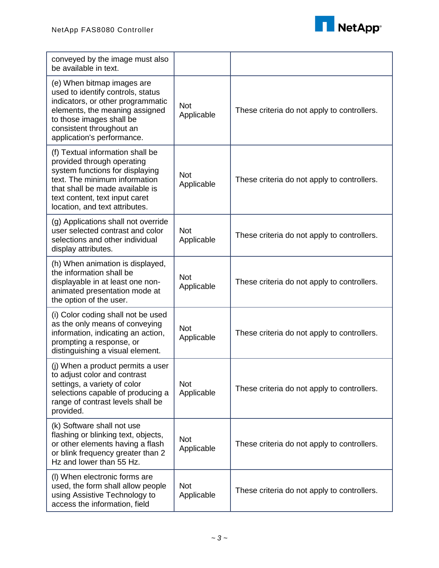

| conveyed by the image must also<br>be available in text.                                                                                                                                                                                  |                          |                                             |
|-------------------------------------------------------------------------------------------------------------------------------------------------------------------------------------------------------------------------------------------|--------------------------|---------------------------------------------|
| (e) When bitmap images are<br>used to identify controls, status<br>indicators, or other programmatic<br>elements, the meaning assigned<br>to those images shall be<br>consistent throughout an<br>application's performance.              | <b>Not</b><br>Applicable | These criteria do not apply to controllers. |
| (f) Textual information shall be<br>provided through operating<br>system functions for displaying<br>text. The minimum information<br>that shall be made available is<br>text content, text input caret<br>location, and text attributes. | <b>Not</b><br>Applicable | These criteria do not apply to controllers. |
| (g) Applications shall not override<br>user selected contrast and color<br>selections and other individual<br>display attributes.                                                                                                         | <b>Not</b><br>Applicable | These criteria do not apply to controllers. |
| (h) When animation is displayed,<br>the information shall be<br>displayable in at least one non-<br>animated presentation mode at<br>the option of the user.                                                                              | <b>Not</b><br>Applicable | These criteria do not apply to controllers. |
| (i) Color coding shall not be used<br>as the only means of conveying<br>information, indicating an action,<br>prompting a response, or<br>distinguishing a visual element.                                                                | <b>Not</b><br>Applicable | These criteria do not apply to controllers. |
| (j) When a product permits a user<br>to adjust color and contrast<br>settings, a variety of color<br>selections capable of producing a<br>range of contrast levels shall be<br>provided.                                                  | Not<br>Applicable        | These criteria do not apply to controllers. |
| (k) Software shall not use<br>flashing or blinking text, objects,<br>or other elements having a flash<br>or blink frequency greater than 2<br>Hz and lower than 55 Hz.                                                                    | <b>Not</b><br>Applicable | These criteria do not apply to controllers. |
| (I) When electronic forms are<br>used, the form shall allow people<br>using Assistive Technology to<br>access the information, field                                                                                                      | <b>Not</b><br>Applicable | These criteria do not apply to controllers. |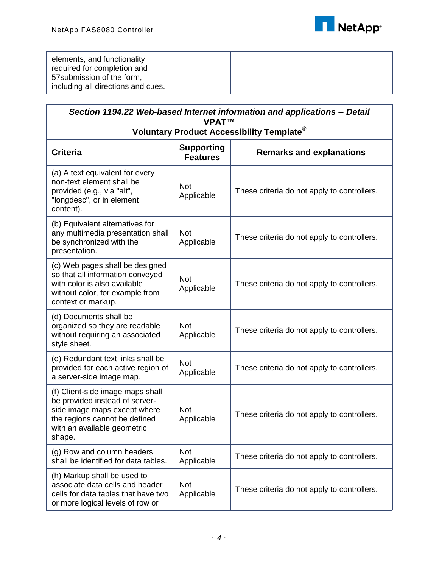

| elements, and functionality<br>required for completion and<br>57 submission of the form, |  |  |
|------------------------------------------------------------------------------------------|--|--|
| including all directions and cues.                                                       |  |  |
|                                                                                          |  |  |

| Section 1194.22 Web-based Internet information and applications -- Detail<br><b>VPAT™</b>                                                                                    |                                      |                                             |  |
|------------------------------------------------------------------------------------------------------------------------------------------------------------------------------|--------------------------------------|---------------------------------------------|--|
| Voluntary Product Accessibility Template <sup>®</sup>                                                                                                                        |                                      |                                             |  |
| <b>Criteria</b>                                                                                                                                                              | <b>Supporting</b><br><b>Features</b> | <b>Remarks and explanations</b>             |  |
| (a) A text equivalent for every<br>non-text element shall be<br>provided (e.g., via "alt",<br>"longdesc", or in element<br>content).                                         | <b>Not</b><br>Applicable             | These criteria do not apply to controllers. |  |
| (b) Equivalent alternatives for<br>any multimedia presentation shall<br>be synchronized with the<br>presentation.                                                            | <b>Not</b><br>Applicable             | These criteria do not apply to controllers. |  |
| (c) Web pages shall be designed<br>so that all information conveyed<br>with color is also available<br>without color, for example from<br>context or markup.                 | <b>Not</b><br>Applicable             | These criteria do not apply to controllers. |  |
| (d) Documents shall be<br>organized so they are readable<br>without requiring an associated<br>style sheet.                                                                  | <b>Not</b><br>Applicable             | These criteria do not apply to controllers. |  |
| (e) Redundant text links shall be<br>provided for each active region of<br>a server-side image map.                                                                          | <b>Not</b><br>Applicable             | These criteria do not apply to controllers. |  |
| (f) Client-side image maps shall<br>be provided instead of server-<br>side image maps except where<br>the regions cannot be defined<br>with an available geometric<br>shape. | <b>Not</b><br>Applicable             | These criteria do not apply to controllers. |  |
| (g) Row and column headers<br>shall be identified for data tables.                                                                                                           | <b>Not</b><br>Applicable             | These criteria do not apply to controllers. |  |
| (h) Markup shall be used to<br>associate data cells and header<br>cells for data tables that have two<br>or more logical levels of row or                                    | <b>Not</b><br>Applicable             | These criteria do not apply to controllers. |  |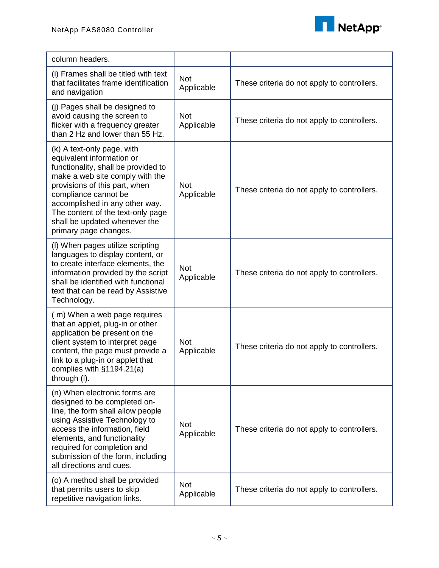

| column headers.                                                                                                                                                                                                                                                                                                             |                          |                                             |
|-----------------------------------------------------------------------------------------------------------------------------------------------------------------------------------------------------------------------------------------------------------------------------------------------------------------------------|--------------------------|---------------------------------------------|
| (i) Frames shall be titled with text<br>that facilitates frame identification<br>and navigation                                                                                                                                                                                                                             | <b>Not</b><br>Applicable | These criteria do not apply to controllers. |
| (j) Pages shall be designed to<br>avoid causing the screen to<br>flicker with a frequency greater<br>than 2 Hz and lower than 55 Hz.                                                                                                                                                                                        | <b>Not</b><br>Applicable | These criteria do not apply to controllers. |
| (k) A text-only page, with<br>equivalent information or<br>functionality, shall be provided to<br>make a web site comply with the<br>provisions of this part, when<br>compliance cannot be<br>accomplished in any other way.<br>The content of the text-only page<br>shall be updated whenever the<br>primary page changes. | <b>Not</b><br>Applicable | These criteria do not apply to controllers. |
| (I) When pages utilize scripting<br>languages to display content, or<br>to create interface elements, the<br>information provided by the script<br>shall be identified with functional<br>text that can be read by Assistive<br>Technology.                                                                                 | <b>Not</b><br>Applicable | These criteria do not apply to controllers. |
| (m) When a web page requires<br>that an applet, plug-in or other<br>application be present on the<br>client system to interpret page<br>content, the page must provide a<br>link to a plug-in or applet that<br>complies with §1194.21(a)<br>through (I).                                                                   | <b>Not</b><br>Applicable | These criteria do not apply to controllers. |
| (n) When electronic forms are<br>designed to be completed on-<br>line, the form shall allow people<br>using Assistive Technology to<br>access the information, field<br>elements, and functionality<br>required for completion and<br>submission of the form, including<br>all directions and cues.                         | <b>Not</b><br>Applicable | These criteria do not apply to controllers. |
| (o) A method shall be provided<br>that permits users to skip<br>repetitive navigation links.                                                                                                                                                                                                                                | <b>Not</b><br>Applicable | These criteria do not apply to controllers. |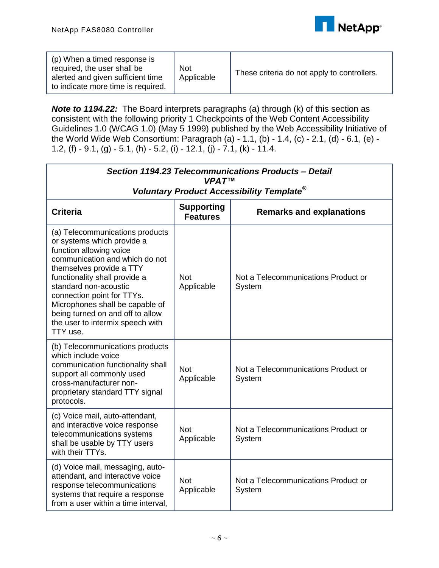

| (p) When a timed response is<br>required, the user shall be<br>alerted and given sufficient time<br>to indicate more time is required. | <b>Not</b><br>Applicable | These criteria do not apply to controllers. |
|----------------------------------------------------------------------------------------------------------------------------------------|--------------------------|---------------------------------------------|
|----------------------------------------------------------------------------------------------------------------------------------------|--------------------------|---------------------------------------------|

*Note to 1194.22:* The Board interprets paragraphs (a) through (k) of this section as consistent with the following priority 1 Checkpoints of the Web Content Accessibility Guidelines 1.0 (WCAG 1.0) (May 5 1999) published by the Web Accessibility Initiative of the World Wide Web Consortium: Paragraph (a) - 1.1, (b) - 1.4, (c) - 2.1, (d) - 6.1, (e) - 1.2, (f) - 9.1, (g) - 5.1, (h) - 5.2, (i) - 12.1, (j) - 7.1, (k) - 11.4.

| Section 1194.23 Telecommunications Products - Detail<br><b>VPAT™</b>                                                                                                                                                                                                                                                                                                  |                                      |                                               |  |
|-----------------------------------------------------------------------------------------------------------------------------------------------------------------------------------------------------------------------------------------------------------------------------------------------------------------------------------------------------------------------|--------------------------------------|-----------------------------------------------|--|
| Voluntary Product Accessibility Template <sup>®</sup>                                                                                                                                                                                                                                                                                                                 |                                      |                                               |  |
| <b>Criteria</b>                                                                                                                                                                                                                                                                                                                                                       | <b>Supporting</b><br><b>Features</b> | <b>Remarks and explanations</b>               |  |
| (a) Telecommunications products<br>or systems which provide a<br>function allowing voice<br>communication and which do not<br>themselves provide a TTY<br>functionality shall provide a<br>standard non-acoustic<br>connection point for TTYs.<br>Microphones shall be capable of<br>being turned on and off to allow<br>the user to intermix speech with<br>TTY use. | <b>Not</b><br>Applicable             | Not a Telecommunications Product or<br>System |  |
| (b) Telecommunications products<br>which include voice<br>communication functionality shall<br>support all commonly used<br>cross-manufacturer non-<br>proprietary standard TTY signal<br>protocols.                                                                                                                                                                  | <b>Not</b><br>Applicable             | Not a Telecommunications Product or<br>System |  |
| (c) Voice mail, auto-attendant,<br>and interactive voice response<br>telecommunications systems<br>shall be usable by TTY users<br>with their TTYs.                                                                                                                                                                                                                   | <b>Not</b><br>Applicable             | Not a Telecommunications Product or<br>System |  |
| (d) Voice mail, messaging, auto-<br>attendant, and interactive voice<br>response telecommunications<br>systems that require a response<br>from a user within a time interval,                                                                                                                                                                                         | <b>Not</b><br>Applicable             | Not a Telecommunications Product or<br>System |  |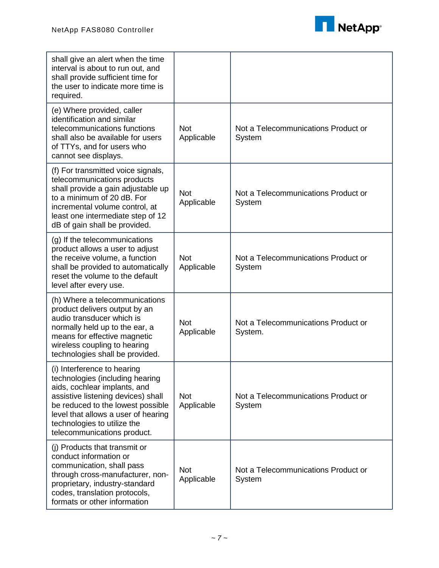

| shall give an alert when the time<br>interval is about to run out, and<br>shall provide sufficient time for<br>the user to indicate more time is<br>required.                                                                                                                  |                          |                                                |
|--------------------------------------------------------------------------------------------------------------------------------------------------------------------------------------------------------------------------------------------------------------------------------|--------------------------|------------------------------------------------|
| (e) Where provided, caller<br>identification and similar<br>telecommunications functions<br>shall also be available for users<br>of TTYs, and for users who<br>cannot see displays.                                                                                            | <b>Not</b><br>Applicable | Not a Telecommunications Product or<br>System  |
| (f) For transmitted voice signals,<br>telecommunications products<br>shall provide a gain adjustable up<br>to a minimum of 20 dB. For<br>incremental volume control, at<br>least one intermediate step of 12<br>dB of gain shall be provided.                                  | <b>Not</b><br>Applicable | Not a Telecommunications Product or<br>System  |
| (g) If the telecommunications<br>product allows a user to adjust<br>the receive volume, a function<br>shall be provided to automatically<br>reset the volume to the default<br>level after every use.                                                                          | <b>Not</b><br>Applicable | Not a Telecommunications Product or<br>System  |
| (h) Where a telecommunications<br>product delivers output by an<br>audio transducer which is<br>normally held up to the ear, a<br>means for effective magnetic<br>wireless coupling to hearing<br>technologies shall be provided.                                              | <b>Not</b><br>Applicable | Not a Telecommunications Product or<br>System. |
| (i) Interference to hearing<br>technologies (including hearing<br>aids, cochlear implants, and<br>assistive listening devices) shall<br>be reduced to the lowest possible<br>level that allows a user of hearing<br>technologies to utilize the<br>telecommunications product. | <b>Not</b><br>Applicable | Not a Telecommunications Product or<br>System  |
| (j) Products that transmit or<br>conduct information or<br>communication, shall pass<br>through cross-manufacturer, non-<br>proprietary, industry-standard<br>codes, translation protocols,<br>formats or other information                                                    | <b>Not</b><br>Applicable | Not a Telecommunications Product or<br>System  |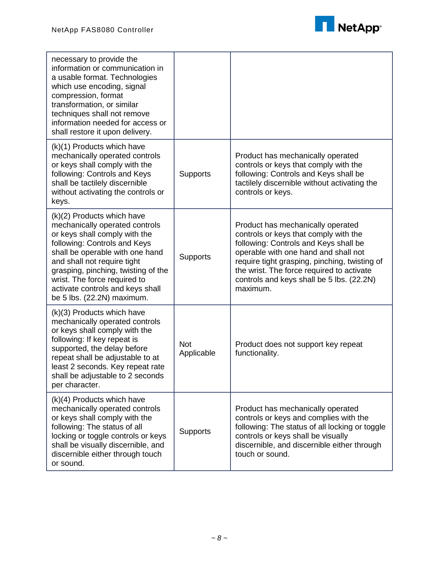

| necessary to provide the<br>information or communication in<br>a usable format. Technologies<br>which use encoding, signal<br>compression, format<br>transformation, or similar<br>techniques shall not remove<br>information needed for access or<br>shall restore it upon delivery.                                                    |                          |                                                                                                                                                                                                                                                                                                                    |
|------------------------------------------------------------------------------------------------------------------------------------------------------------------------------------------------------------------------------------------------------------------------------------------------------------------------------------------|--------------------------|--------------------------------------------------------------------------------------------------------------------------------------------------------------------------------------------------------------------------------------------------------------------------------------------------------------------|
| (k)(1) Products which have<br>mechanically operated controls<br>or keys shall comply with the<br>following: Controls and Keys<br>shall be tactilely discernible<br>without activating the controls or<br>keys.                                                                                                                           | <b>Supports</b>          | Product has mechanically operated<br>controls or keys that comply with the<br>following: Controls and Keys shall be<br>tactilely discernible without activating the<br>controls or keys.                                                                                                                           |
| (k)(2) Products which have<br>mechanically operated controls<br>or keys shall comply with the<br>following: Controls and Keys<br>shall be operable with one hand<br>and shall not require tight<br>grasping, pinching, twisting of the<br>wrist. The force required to<br>activate controls and keys shall<br>be 5 lbs. (22.2N) maximum. | Supports                 | Product has mechanically operated<br>controls or keys that comply with the<br>following: Controls and Keys shall be<br>operable with one hand and shall not<br>require tight grasping, pinching, twisting of<br>the wrist. The force required to activate<br>controls and keys shall be 5 lbs. (22.2N)<br>maximum. |
| (k)(3) Products which have<br>mechanically operated controls<br>or keys shall comply with the<br>following: If key repeat is<br>supported, the delay before<br>repeat shall be adjustable to at<br>least 2 seconds. Key repeat rate<br>shall be adjustable to 2 seconds<br>per character.                                                | <b>Not</b><br>Applicable | Product does not support key repeat<br>functionality.                                                                                                                                                                                                                                                              |
| (k)(4) Products which have<br>mechanically operated controls<br>or keys shall comply with the<br>following: The status of all<br>locking or toggle controls or keys<br>shall be visually discernible, and<br>discernible either through touch<br>or sound.                                                                               | Supports                 | Product has mechanically operated<br>controls or keys and complies with the<br>following: The status of all locking or toggle<br>controls or keys shall be visually<br>discernible, and discernible either through<br>touch or sound.                                                                              |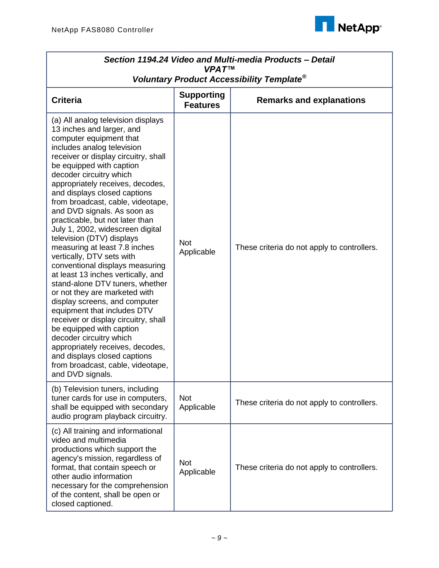

| Section 1194.24 Video and Multi-media Products - Detail<br><b>VPAT™</b>                                                                                                                                                                                                                                                                                                                                                                                                                                                                                                                                                                                                                                                                                                                                                                                                                                                                                                    |                                      |                                             |  |
|----------------------------------------------------------------------------------------------------------------------------------------------------------------------------------------------------------------------------------------------------------------------------------------------------------------------------------------------------------------------------------------------------------------------------------------------------------------------------------------------------------------------------------------------------------------------------------------------------------------------------------------------------------------------------------------------------------------------------------------------------------------------------------------------------------------------------------------------------------------------------------------------------------------------------------------------------------------------------|--------------------------------------|---------------------------------------------|--|
| Voluntary Product Accessibility Template®                                                                                                                                                                                                                                                                                                                                                                                                                                                                                                                                                                                                                                                                                                                                                                                                                                                                                                                                  |                                      |                                             |  |
| <b>Criteria</b>                                                                                                                                                                                                                                                                                                                                                                                                                                                                                                                                                                                                                                                                                                                                                                                                                                                                                                                                                            | <b>Supporting</b><br><b>Features</b> | <b>Remarks and explanations</b>             |  |
| (a) All analog television displays<br>13 inches and larger, and<br>computer equipment that<br>includes analog television<br>receiver or display circuitry, shall<br>be equipped with caption<br>decoder circuitry which<br>appropriately receives, decodes,<br>and displays closed captions<br>from broadcast, cable, videotape,<br>and DVD signals. As soon as<br>practicable, but not later than<br>July 1, 2002, widescreen digital<br>television (DTV) displays<br>measuring at least 7.8 inches<br>vertically, DTV sets with<br>conventional displays measuring<br>at least 13 inches vertically, and<br>stand-alone DTV tuners, whether<br>or not they are marketed with<br>display screens, and computer<br>equipment that includes DTV<br>receiver or display circuitry, shall<br>be equipped with caption<br>decoder circuitry which<br>appropriately receives, decodes,<br>and displays closed captions<br>from broadcast, cable, videotape,<br>and DVD signals. | <b>Not</b><br>Applicable             | These criteria do not apply to controllers. |  |
| (b) Television tuners, including<br>tuner cards for use in computers,<br>shall be equipped with secondary<br>audio program playback circuitry.                                                                                                                                                                                                                                                                                                                                                                                                                                                                                                                                                                                                                                                                                                                                                                                                                             | <b>Not</b><br>Applicable             | These criteria do not apply to controllers. |  |
| (c) All training and informational<br>video and multimedia<br>productions which support the<br>agency's mission, regardless of<br>format, that contain speech or<br>other audio information<br>necessary for the comprehension<br>of the content, shall be open or<br>closed captioned.                                                                                                                                                                                                                                                                                                                                                                                                                                                                                                                                                                                                                                                                                    | <b>Not</b><br>Applicable             | These criteria do not apply to controllers. |  |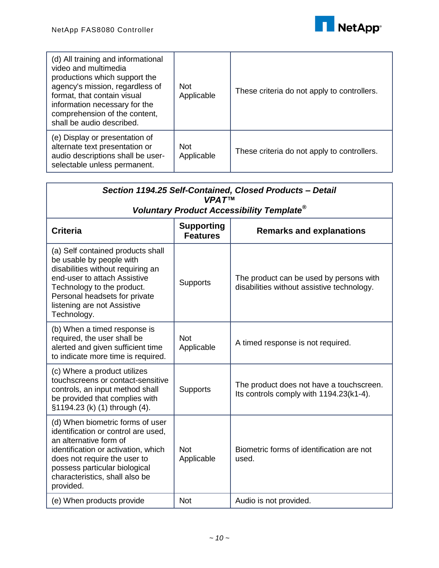

| (d) All training and informational<br>video and multimedia<br>productions which support the<br>agency's mission, regardless of<br>format, that contain visual<br>information necessary for the<br>comprehension of the content,<br>shall be audio described. | <b>Not</b><br>Applicable | These criteria do not apply to controllers. |
|--------------------------------------------------------------------------------------------------------------------------------------------------------------------------------------------------------------------------------------------------------------|--------------------------|---------------------------------------------|
| (e) Display or presentation of<br>alternate text presentation or<br>audio descriptions shall be user-<br>selectable unless permanent.                                                                                                                        | <b>Not</b><br>Applicable | These criteria do not apply to controllers. |

| Section 1194.25 Self-Contained, Closed Products - Detail<br><b>VPATTM</b><br>Voluntary Product Accessibility Template <sup>®</sup>                                                                                                                       |                                      |                                                                                       |
|----------------------------------------------------------------------------------------------------------------------------------------------------------------------------------------------------------------------------------------------------------|--------------------------------------|---------------------------------------------------------------------------------------|
| <b>Criteria</b>                                                                                                                                                                                                                                          | <b>Supporting</b><br><b>Features</b> | <b>Remarks and explanations</b>                                                       |
| (a) Self contained products shall<br>be usable by people with<br>disabilities without requiring an<br>end-user to attach Assistive<br>Technology to the product.<br>Personal headsets for private<br>listening are not Assistive<br>Technology.          | <b>Supports</b>                      | The product can be used by persons with<br>disabilities without assistive technology. |
| (b) When a timed response is<br>required, the user shall be<br>alerted and given sufficient time<br>to indicate more time is required.                                                                                                                   | <b>Not</b><br>Applicable             | A timed response is not required.                                                     |
| (c) Where a product utilizes<br>touchscreens or contact-sensitive<br>controls, an input method shall<br>be provided that complies with<br>§1194.23 (k) (1) through (4).                                                                                  | <b>Supports</b>                      | The product does not have a touchscreen.<br>Its controls comply with 1194.23(k1-4).   |
| (d) When biometric forms of user<br>identification or control are used,<br>an alternative form of<br>identification or activation, which<br>does not require the user to<br>possess particular biological<br>characteristics, shall also be<br>provided. | <b>Not</b><br>Applicable             | Biometric forms of identification are not<br>used.                                    |
| (e) When products provide                                                                                                                                                                                                                                | <b>Not</b>                           | Audio is not provided.                                                                |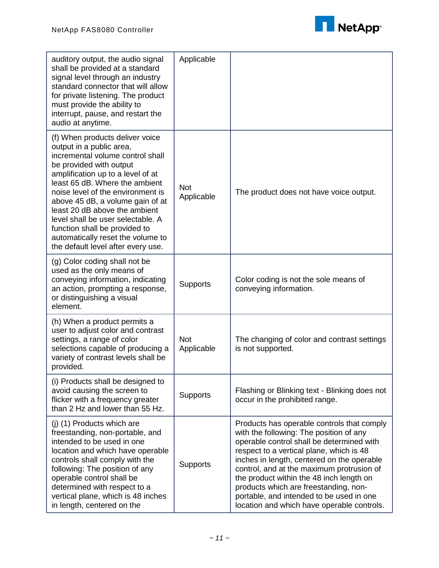

| auditory output, the audio signal<br>shall be provided at a standard<br>signal level through an industry<br>standard connector that will allow<br>for private listening. The product<br>must provide the ability to<br>interrupt, pause, and restart the<br>audio at anytime.                                                                                                                                                                                | Applicable               |                                                                                                                                                                                                                                                                                                                                                                                                                                                          |
|--------------------------------------------------------------------------------------------------------------------------------------------------------------------------------------------------------------------------------------------------------------------------------------------------------------------------------------------------------------------------------------------------------------------------------------------------------------|--------------------------|----------------------------------------------------------------------------------------------------------------------------------------------------------------------------------------------------------------------------------------------------------------------------------------------------------------------------------------------------------------------------------------------------------------------------------------------------------|
| (f) When products deliver voice<br>output in a public area,<br>incremental volume control shall<br>be provided with output<br>amplification up to a level of at<br>least 65 dB. Where the ambient<br>noise level of the environment is<br>above 45 dB, a volume gain of at<br>least 20 dB above the ambient<br>level shall be user selectable. A<br>function shall be provided to<br>automatically reset the volume to<br>the default level after every use. | <b>Not</b><br>Applicable | The product does not have voice output.                                                                                                                                                                                                                                                                                                                                                                                                                  |
| (g) Color coding shall not be<br>used as the only means of<br>conveying information, indicating<br>an action, prompting a response,<br>or distinguishing a visual<br>element.                                                                                                                                                                                                                                                                                | Supports                 | Color coding is not the sole means of<br>conveying information.                                                                                                                                                                                                                                                                                                                                                                                          |
| (h) When a product permits a<br>user to adjust color and contrast<br>settings, a range of color<br>selections capable of producing a<br>variety of contrast levels shall be<br>provided.                                                                                                                                                                                                                                                                     | <b>Not</b><br>Applicable | The changing of color and contrast settings<br>is not supported.                                                                                                                                                                                                                                                                                                                                                                                         |
| (i) Products shall be designed to<br>avoid causing the screen to<br>flicker with a frequency greater<br>than 2 Hz and lower than 55 Hz.                                                                                                                                                                                                                                                                                                                      | Supports                 | Flashing or Blinking text - Blinking does not<br>occur in the prohibited range.                                                                                                                                                                                                                                                                                                                                                                          |
| (i) (1) Products which are<br>freestanding, non-portable, and<br>intended to be used in one<br>location and which have operable<br>controls shall comply with the<br>following: The position of any<br>operable control shall be<br>determined with respect to a<br>vertical plane, which is 48 inches<br>in length, centered on the                                                                                                                         | Supports                 | Products has operable controls that comply<br>with the following: The position of any<br>operable control shall be determined with<br>respect to a vertical plane, which is 48<br>inches in length, centered on the operable<br>control, and at the maximum protrusion of<br>the product within the 48 inch length on<br>products which are freestanding, non-<br>portable, and intended to be used in one<br>location and which have operable controls. |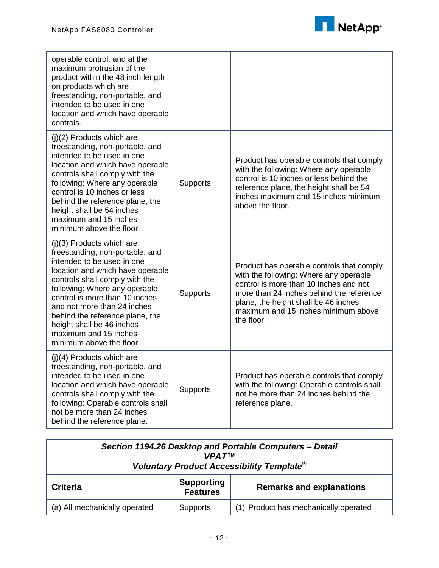

| operable control, and at the<br>maximum protrusion of the<br>product within the 48 inch length<br>on products which are<br>freestanding, non-portable, and<br>intended to be used in one<br>location and which have operable<br>controls.                                                                                                                                                 |                 |                                                                                                                                                                                                                                                                        |
|-------------------------------------------------------------------------------------------------------------------------------------------------------------------------------------------------------------------------------------------------------------------------------------------------------------------------------------------------------------------------------------------|-----------------|------------------------------------------------------------------------------------------------------------------------------------------------------------------------------------------------------------------------------------------------------------------------|
| $(j)(2)$ Products which are<br>freestanding, non-portable, and<br>intended to be used in one<br>location and which have operable<br>controls shall comply with the<br>following: Where any operable<br>control is 10 inches or less<br>behind the reference plane, the<br>height shall be 54 inches<br>maximum and 15 inches<br>minimum above the floor.                                  | Supports        | Product has operable controls that comply<br>with the following: Where any operable<br>control is 10 inches or less behind the<br>reference plane, the height shall be 54<br>inches maximum and 15 inches minimum<br>above the floor.                                  |
| $(j)(3)$ Products which are<br>freestanding, non-portable, and<br>intended to be used in one<br>location and which have operable<br>controls shall comply with the<br>following: Where any operable<br>control is more than 10 inches<br>and not more than 24 inches<br>behind the reference plane, the<br>height shall be 46 inches<br>maximum and 15 inches<br>minimum above the floor. | <b>Supports</b> | Product has operable controls that comply<br>with the following: Where any operable<br>control is more than 10 inches and not<br>more than 24 inches behind the reference<br>plane, the height shall be 46 inches<br>maximum and 15 inches minimum above<br>the floor. |
| (j)(4) Products which are<br>freestanding, non-portable, and<br>intended to be used in one<br>location and which have operable<br>controls shall comply with the<br>following: Operable controls shall<br>not be more than 24 inches<br>behind the reference plane.                                                                                                                       | <b>Supports</b> | Product has operable controls that comply<br>with the following: Operable controls shall<br>not be more than 24 inches behind the<br>reference plane.                                                                                                                  |

| Section 1194.26 Desktop and Portable Computers - Detail<br><b>VPAT<sub>TM</sub></b><br>Voluntary Product Accessibility Template <sup>®</sup> |                               |                                       |  |
|----------------------------------------------------------------------------------------------------------------------------------------------|-------------------------------|---------------------------------------|--|
| <b>Criteria</b>                                                                                                                              | <b>Supporting</b><br>Features | <b>Remarks and explanations</b>       |  |
| (a) All mechanically operated                                                                                                                | <b>Supports</b>               | (1) Product has mechanically operated |  |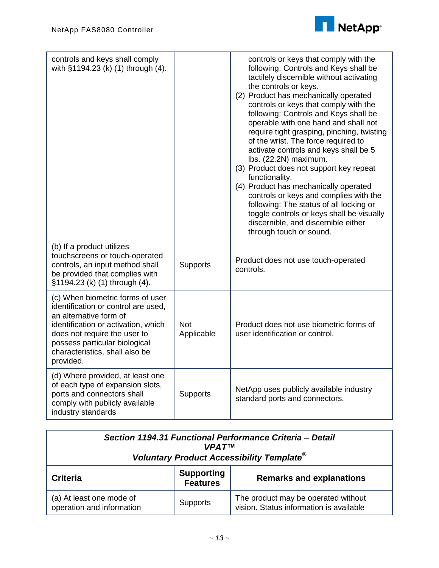

| controls and keys shall comply<br>with §1194.23 (k) (1) through (4).                                                                                                                                                                                     |                          | controls or keys that comply with the<br>following: Controls and Keys shall be<br>tactilely discernible without activating<br>the controls or keys.<br>(2) Product has mechanically operated<br>controls or keys that comply with the<br>following: Controls and Keys shall be<br>operable with one hand and shall not<br>require tight grasping, pinching, twisting<br>of the wrist. The force required to<br>activate controls and keys shall be 5<br>lbs. (22.2N) maximum.<br>(3) Product does not support key repeat<br>functionality.<br>(4) Product has mechanically operated<br>controls or keys and complies with the<br>following: The status of all locking or<br>toggle controls or keys shall be visually<br>discernible, and discernible either<br>through touch or sound. |
|----------------------------------------------------------------------------------------------------------------------------------------------------------------------------------------------------------------------------------------------------------|--------------------------|-----------------------------------------------------------------------------------------------------------------------------------------------------------------------------------------------------------------------------------------------------------------------------------------------------------------------------------------------------------------------------------------------------------------------------------------------------------------------------------------------------------------------------------------------------------------------------------------------------------------------------------------------------------------------------------------------------------------------------------------------------------------------------------------|
| (b) If a product utilizes<br>touchscreens or touch-operated<br>controls, an input method shall<br>be provided that complies with<br>§1194.23 (k) (1) through (4).                                                                                        | <b>Supports</b>          | Product does not use touch-operated<br>controls.                                                                                                                                                                                                                                                                                                                                                                                                                                                                                                                                                                                                                                                                                                                                        |
| (c) When biometric forms of user<br>identification or control are used,<br>an alternative form of<br>identification or activation, which<br>does not require the user to<br>possess particular biological<br>characteristics, shall also be<br>provided. | <b>Not</b><br>Applicable | Product does not use biometric forms of<br>user identification or control.                                                                                                                                                                                                                                                                                                                                                                                                                                                                                                                                                                                                                                                                                                              |
| (d) Where provided, at least one<br>of each type of expansion slots,<br>ports and connectors shall<br>comply with publicly available<br>industry standards                                                                                               | Supports                 | NetApp uses publicly available industry<br>standard ports and connectors.                                                                                                                                                                                                                                                                                                                                                                                                                                                                                                                                                                                                                                                                                                               |

| Section 1194.31 Functional Performance Criteria - Detail<br><b>VPATTM</b><br>Voluntary Product Accessibility Template <sup>®</sup> |                                      |                                                                                |  |
|------------------------------------------------------------------------------------------------------------------------------------|--------------------------------------|--------------------------------------------------------------------------------|--|
| Criteria                                                                                                                           | <b>Supporting</b><br><b>Features</b> | <b>Remarks and explanations</b>                                                |  |
| (a) At least one mode of<br>operation and information                                                                              | <b>Supports</b>                      | The product may be operated without<br>vision. Status information is available |  |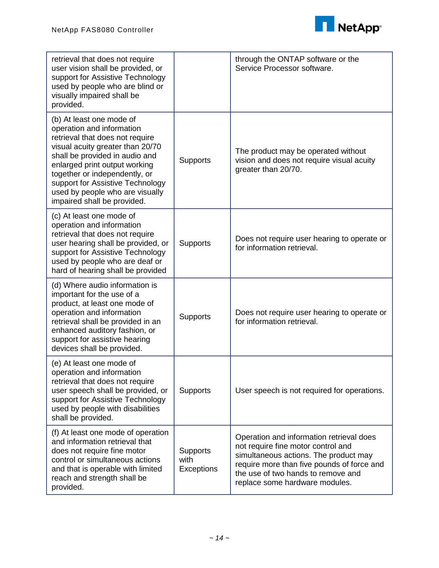

| retrieval that does not require<br>user vision shall be provided, or<br>support for Assistive Technology<br>used by people who are blind or<br>visually impaired shall be<br>provided.                                                                                                                                                 |                                | through the ONTAP software or the<br>Service Processor software.                                                                                                                                                                              |
|----------------------------------------------------------------------------------------------------------------------------------------------------------------------------------------------------------------------------------------------------------------------------------------------------------------------------------------|--------------------------------|-----------------------------------------------------------------------------------------------------------------------------------------------------------------------------------------------------------------------------------------------|
| (b) At least one mode of<br>operation and information<br>retrieval that does not require<br>visual acuity greater than 20/70<br>shall be provided in audio and<br>enlarged print output working<br>together or independently, or<br>support for Assistive Technology<br>used by people who are visually<br>impaired shall be provided. | <b>Supports</b>                | The product may be operated without<br>vision and does not require visual acuity<br>greater than 20/70.                                                                                                                                       |
| (c) At least one mode of<br>operation and information<br>retrieval that does not require<br>user hearing shall be provided, or<br>support for Assistive Technology<br>used by people who are deaf or<br>hard of hearing shall be provided                                                                                              | <b>Supports</b>                | Does not require user hearing to operate or<br>for information retrieval.                                                                                                                                                                     |
| (d) Where audio information is<br>important for the use of a<br>product, at least one mode of<br>operation and information<br>retrieval shall be provided in an<br>enhanced auditory fashion, or<br>support for assistive hearing<br>devices shall be provided.                                                                        | <b>Supports</b>                | Does not require user hearing to operate or<br>for information retrieval.                                                                                                                                                                     |
| (e) At least one mode of<br>operation and information<br>retrieval that does not require<br>user speech shall be provided, or<br>support for Assistive Technology<br>used by people with disabilities<br>shall be provided.                                                                                                            | <b>Supports</b>                | User speech is not required for operations.                                                                                                                                                                                                   |
| (f) At least one mode of operation<br>and information retrieval that<br>does not require fine motor<br>control or simultaneous actions<br>and that is operable with limited<br>reach and strength shall be<br>provided.                                                                                                                | Supports<br>with<br>Exceptions | Operation and information retrieval does<br>not require fine motor control and<br>simultaneous actions. The product may<br>require more than five pounds of force and<br>the use of two hands to remove and<br>replace some hardware modules. |